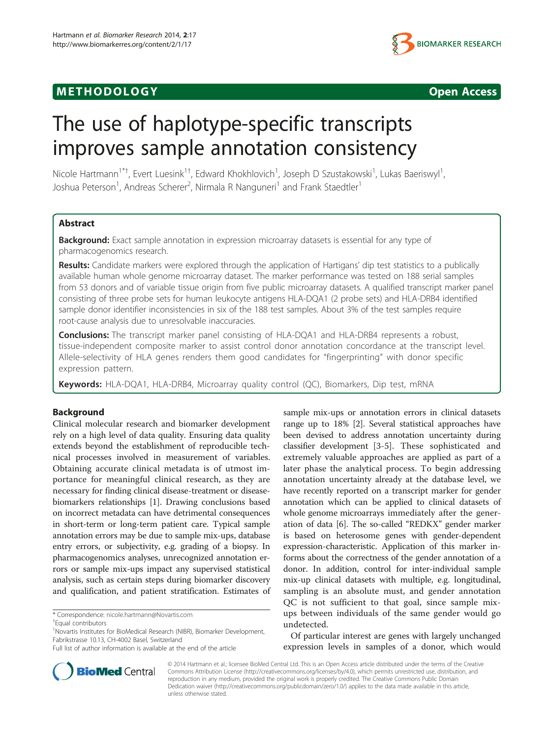# **METHODOLOGY CONSUMING ACCESS**



# The use of haplotype-specific transcripts improves sample annotation consistency

Nicole Hartmann<sup>1\*†</sup>, Evert Luesink<sup>1†</sup>, Edward Khokhlovich<sup>1</sup>, Joseph D Szustakowski<sup>1</sup>, Lukas Baeriswyl<sup>1</sup> , Joshua Peterson<sup>1</sup>, Andreas Scherer<sup>2</sup>, Nirmala R Nanguneri<sup>1</sup> and Frank Staedtler<sup>1</sup>

# Abstract

Background: Exact sample annotation in expression microarray datasets is essential for any type of pharmacogenomics research.

Results: Candidate markers were explored through the application of Hartigans' dip test statistics to a publically available human whole genome microarray dataset. The marker performance was tested on 188 serial samples from 53 donors and of variable tissue origin from five public microarray datasets. A qualified transcript marker panel consisting of three probe sets for human leukocyte antigens HLA-DQA1 (2 probe sets) and HLA-DRB4 identified sample donor identifier inconsistencies in six of the 188 test samples. About 3% of the test samples require root-cause analysis due to unresolvable inaccuracies.

**Conclusions:** The transcript marker panel consisting of HLA-DQA1 and HLA-DRB4 represents a robust, tissue-independent composite marker to assist control donor annotation concordance at the transcript level. Allele-selectivity of HLA genes renders them good candidates for "fingerprinting" with donor specific expression pattern.

**Keywords:** HLA-DQA1, HLA-DRB4, Microarray quality control (QC), Biomarkers, Dip test, mRNA

## Background

Clinical molecular research and biomarker development rely on a high level of data quality. Ensuring data quality extends beyond the establishment of reproducible technical processes involved in measurement of variables. Obtaining accurate clinical metadata is of utmost importance for meaningful clinical research, as they are necessary for finding clinical disease-treatment or diseasebiomarkers relationships [\[1\]](#page-7-0). Drawing conclusions based on incorrect metadata can have detrimental consequences in short-term or long-term patient care. Typical sample annotation errors may be due to sample mix-ups, database entry errors, or subjectivity, e.g. grading of a biopsy. In pharmacogenomics analyses, unrecognized annotation errors or sample mix-ups impact any supervised statistical analysis, such as certain steps during biomarker discovery and qualification, and patient stratification. Estimates of

\* Correspondence: [nicole.hartmann@Novartis.com](mailto:nicole.hartmann@Novartis.com) †

<sup>1</sup>Novartis Institutes for BioMedical Research (NIBR), Biomarker Development, Fabrikstrasse 10.13, CH-4002 Basel, Switzerland

sample mix-ups or annotation errors in clinical datasets range up to 18% [[2](#page-7-0)]. Several statistical approaches have been devised to address annotation uncertainty during classifier development [[3-5](#page-7-0)]. These sophisticated and extremely valuable approaches are applied as part of a later phase the analytical process. To begin addressing annotation uncertainty already at the database level, we have recently reported on a transcript marker for gender annotation which can be applied to clinical datasets of whole genome microarrays immediately after the generation of data [[6](#page-7-0)]. The so-called "REDKX" gender marker is based on heterosome genes with gender-dependent expression-characteristic. Application of this marker informs about the correctness of the gender annotation of a donor. In addition, control for inter-individual sample mix-up clinical datasets with multiple, e.g. longitudinal, sampling is an absolute must, and gender annotation QC is not sufficient to that goal, since sample mixups between individuals of the same gender would go undetected.

Of particular interest are genes with largely unchanged expression levels in samples of a donor, which would



© 2014 Hartmann et al.; licensee BioMed Central Ltd. This is an Open Access article distributed under the terms of the Creative Commons Attribution License [\(http://creativecommons.org/licenses/by/4.0\)](http://creativecommons.org/licenses/by/4.0), which permits unrestricted use, distribution, and reproduction in any medium, provided the original work is properly credited. The Creative Commons Public Domain Dedication waiver [\(http://creativecommons.org/publicdomain/zero/1.0/](http://creativecommons.org/publicdomain/zero/1.0/)) applies to the data made available in this article, unless otherwise stated.

Equal contributors

Full list of author information is available at the end of the article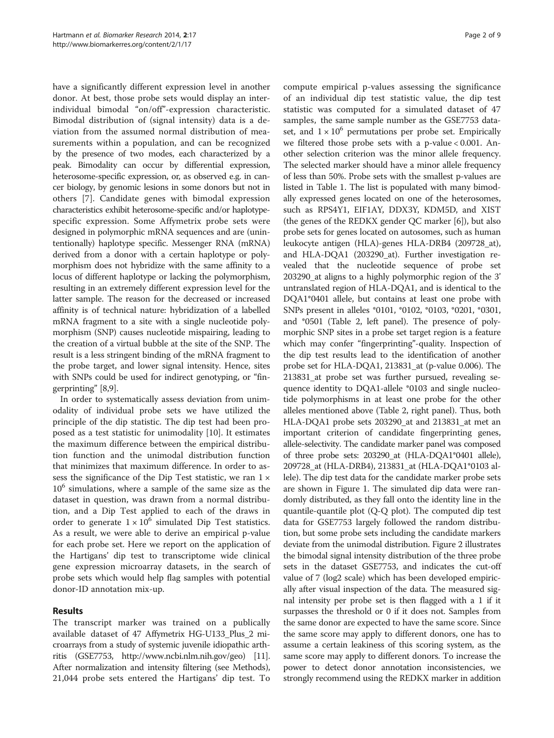have a significantly different expression level in another donor. At best, those probe sets would display an interindividual bimodal "on/off"-expression characteristic. Bimodal distribution of (signal intensity) data is a deviation from the assumed normal distribution of measurements within a population, and can be recognized by the presence of two modes, each characterized by a peak. Bimodality can occur by differential expression, heterosome-specific expression, or, as observed e.g. in cancer biology, by genomic lesions in some donors but not in others [\[7](#page-7-0)]. Candidate genes with bimodal expression characteristics exhibit heterosome-specific and/or haplotypespecific expression. Some Affymetrix probe sets were designed in polymorphic mRNA sequences and are (unintentionally) haplotype specific. Messenger RNA (mRNA) derived from a donor with a certain haplotype or polymorphism does not hybridize with the same affinity to a locus of different haplotype or lacking the polymorphism, resulting in an extremely different expression level for the latter sample. The reason for the decreased or increased affinity is of technical nature: hybridization of a labelled mRNA fragment to a site with a single nucleotide polymorphism (SNP) causes nucleotide mispairing, leading to the creation of a virtual bubble at the site of the SNP. The result is a less stringent binding of the mRNA fragment to the probe target, and lower signal intensity. Hence, sites with SNPs could be used for indirect genotyping, or "fingerprinting" [\[8,9](#page-7-0)].

In order to systematically assess deviation from unimodality of individual probe sets we have utilized the principle of the dip statistic. The dip test had been proposed as a test statistic for unimodality [[10\]](#page-7-0). It estimates the maximum difference between the empirical distribution function and the unimodal distribution function that minimizes that maximum difference. In order to assess the significance of the Dip Test statistic, we ran  $1 \times$  $10<sup>6</sup>$  simulations, where a sample of the same size as the dataset in question, was drawn from a normal distribution, and a Dip Test applied to each of the draws in order to generate  $1 \times 10^6$  simulated Dip Test statistics. As a result, we were able to derive an empirical p-value for each probe set. Here we report on the application of the Hartigans' dip test to transcriptome wide clinical gene expression microarray datasets, in the search of probe sets which would help flag samples with potential donor-ID annotation mix-up.

## Results

The transcript marker was trained on a publically available dataset of 47 Affymetrix HG-U133\_Plus\_2 microarrays from a study of systemic juvenile idiopathic arthritis (GSE7753, [http://www.ncbi.nlm.nih.gov/geo\)](http://www.ncbi.nlm.nih.gov/geo) [[11](#page-7-0)]. After normalization and intensity filtering (see [Methods](#page-7-0)), 21,044 probe sets entered the Hartigans' dip test. To

compute empirical p-values assessing the significance of an individual dip test statistic value, the dip test statistic was computed for a simulated dataset of 47 samples, the same sample number as the GSE7753 dataset, and  $1 \times 10^6$  permutations per probe set. Empirically we filtered those probe sets with a p-value < 0.001. Another selection criterion was the minor allele frequency. The selected marker should have a minor allele frequency of less than 50%. Probe sets with the smallest p-values are listed in Table [1](#page-2-0). The list is populated with many bimodally expressed genes located on one of the heterosomes, such as RPS4Y1, EIF1AY, DDX3Y, KDM5D, and XIST (the genes of the REDKX gender QC marker [[6\]](#page-7-0)), but also probe sets for genes located on autosomes, such as human leukocyte antigen (HLA)-genes HLA-DRB4 (209728\_at), and HLA-DQA1 (203290\_at). Further investigation revealed that the nucleotide sequence of probe set 203290\_at aligns to a highly polymorphic region of the 3' untranslated region of HLA-DQA1, and is identical to the DQA1\*0401 allele, but contains at least one probe with SNPs present in alleles \*0101, \*0102, \*0103, \*0201, \*0301, and \*0501 (Table [2](#page-3-0), left panel). The presence of polymorphic SNP sites in a probe set target region is a feature which may confer "fingerprinting"-quality. Inspection of the dip test results lead to the identification of another probe set for HLA-DQA1, 213831\_at (p-value 0.006). The 213831\_at probe set was further pursued, revealing sequence identity to DQA1-allele \*0103 and single nucleotide polymorphisms in at least one probe for the other alleles mentioned above (Table [2](#page-3-0), right panel). Thus, both HLA-DQA1 probe sets 203290\_at and 213831\_at met an important criterion of candidate fingerprinting genes, allele-selectivity. The candidate marker panel was composed of three probe sets: 203290\_at (HLA-DQA1\*0401 allele), 209728\_at (HLA-DRB4), 213831\_at (HLA-DQA1\*0103 allele). The dip test data for the candidate marker probe sets are shown in Figure [1](#page-4-0). The simulated dip data were randomly distributed, as they fall onto the identity line in the quantile-quantile plot (Q-Q plot). The computed dip test data for GSE7753 largely followed the random distribution, but some probe sets including the candidate markers deviate from the unimodal distribution. Figure [2](#page-4-0) illustrates the bimodal signal intensity distribution of the three probe sets in the dataset GSE7753, and indicates the cut-off value of 7 (log2 scale) which has been developed empirically after visual inspection of the data. The measured signal intensity per probe set is then flagged with a 1 if it surpasses the threshold or 0 if it does not. Samples from the same donor are expected to have the same score. Since the same score may apply to different donors, one has to assume a certain leakiness of this scoring system, as the same score may apply to different donors. To increase the power to detect donor annotation inconsistencies, we strongly recommend using the REDKX marker in addition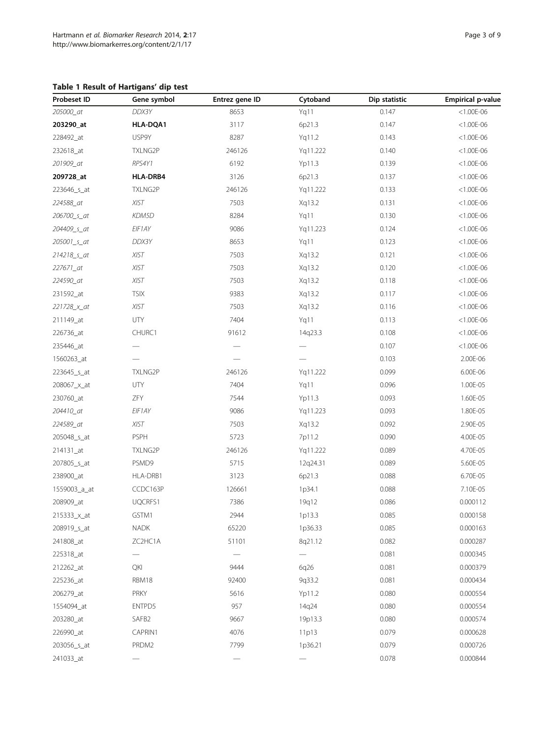<span id="page-2-0"></span>Table 1 Result of Hartigans' dip test

| Probeset ID  | Gene symbol                  | Entrez gene ID | Cytoband | Dip statistic | <b>Empirical p-value</b> |
|--------------|------------------------------|----------------|----------|---------------|--------------------------|
| 205000_at    | DDX3Y                        | 8653           | Yq11     | 0.147         | $< 1.00E - 06$           |
| 203290_at    | HLA-DQA1                     | 3117           | 6p21.3   | 0.147         | $< 1.00E - 06$           |
| 228492_at    | USP9Y                        | 8287           | Yq11.2   | 0.143         | $< 1.00E - 06$           |
| 232618_at    | TXLNG2P                      | 246126         | Yq11.222 | 0.140         | $< 1.00E - 06$           |
| 201909_at    | RPS4Y1                       | 6192           | Yp11.3   | 0.139         | $< 1.00E - 06$           |
| 209728_at    | <b>HLA-DRB4</b>              | 3126           | 6p21.3   | 0.137         | $< 1.00E - 06$           |
| 223646_s_at  | TXLNG2P                      | 246126         | Yq11.222 | 0.133         | $< 1.00E - 06$           |
| 224588_at    | XIST                         | 7503           | Xq13.2   | 0.131         | $< 1.00E - 06$           |
| 206700_s_at  | <b>KDM5D</b>                 | 8284           | Yq11     | 0.130         | $< 1.00E - 06$           |
| 204409_s_at  | EIF1AY                       | 9086           | Yq11.223 | 0.124         | $< 1.00E - 06$           |
| 205001_s_at  | DDX3Y                        | 8653           | Yq11     | 0.123         | $< 1.00E - 06$           |
| 214218_s_at  | XIST                         | 7503           | Xq13.2   | 0.121         | $< 1.00E - 06$           |
| 227671_at    | XIST                         | 7503           | Xq13.2   | 0.120         | $< 1.00E - 06$           |
| 224590_at    | XIST                         | 7503           | Xq13.2   | 0.118         | $< 1.00E - 06$           |
| 231592_at    | <b>TSIX</b>                  | 9383           | Xq13.2   | 0.117         | $< 1.00E - 06$           |
| 221728_x_at  | XIST                         | 7503           | Xq13.2   | 0.116         | $< 1.00E - 06$           |
| 211149_at    | UTY                          | 7404           | Yq11     | 0.113         | $< 1.00E - 06$           |
| 226736_at    | CHURC1                       | 91612          | 14q23.3  | 0.108         | $< 1.00E - 06$           |
| 235446_at    |                              |                |          | 0.107         | $< 1.00E - 06$           |
| 1560263_at   | $\overline{\phantom{0}}$     |                |          | 0.103         | 2.00E-06                 |
| 223645_s_at  | <b>TXLNG2P</b>               | 246126         | Yq11.222 | 0.099         | 6.00E-06                 |
| 208067_x_at  | UTY                          | 7404           | Yq11     | 0.096         | 1.00E-05                 |
| 230760_at    | ZFY                          | 7544           | Yp11.3   | 0.093         | 1.60E-05                 |
| 204410_at    | EIF1AY                       | 9086           | Yq11.223 | 0.093         | 1.80E-05                 |
| 224589_at    | XIST                         | 7503           | Xq13.2   | 0.092         | 2.90E-05                 |
| 205048_s_at  | PSPH                         | 5723           | 7p11.2   | 0.090         | 4.00E-05                 |
| 214131_at    | TXLNG2P                      | 246126         | Yq11.222 | 0.089         | 4.70E-05                 |
| 207805_s_at  | PSMD9                        | 5715           | 12q24.31 | 0.089         | 5.60E-05                 |
| 238900_at    | HLA-DRB1                     | 3123           | 6p21.3   | 0.088         | 6.70E-05                 |
| 1559003_a_at | CCDC163P                     | 126661         | 1p34.1   | 0.088         | 7.10E-05                 |
| 208909_at    | UQCRFS1                      | 7386           | 19q12    | 0.086         | 0.000112                 |
| 215333_x_at  | GSTM1                        | 2944           | 1p13.3   | 0.085         | 0.000158                 |
| 208919_s_at  | $\ensuremath{\mathsf{NADK}}$ | 65220          | 1p36.33  | 0.085         | 0.000163                 |
| 241808_at    | ZC2HC1A                      | 51101          | 8q21.12  | 0.082         | 0.000287                 |
| 225318_at    | $\overline{\phantom{0}}$     |                |          | 0.081         | 0.000345                 |
| 212262_at    | QKI                          | 9444           | 6q26     | 0.081         | 0.000379                 |
| 225236_at    | RBM18                        | 92400          | 9q33.2   | 0.081         | 0.000434                 |
| 206279_at    | PRKY                         | 5616           | Yp11.2   | 0.080         | 0.000554                 |
| 1554094_at   | ENTPD5                       | 957            | 14q24    | 0.080         | 0.000554                 |
| 203280_at    | SAFB <sub>2</sub>            | 9667           | 19p13.3  | 0.080         | 0.000574                 |
| 226990_at    | CAPRIN1                      | 4076           | 11p13    | 0.079         | 0.000628                 |
| 203056_s_at  | PRDM2                        | 7799           | 1p36.21  | 0.079         | 0.000726                 |
| 241033_at    |                              |                |          | 0.078         | 0.000844                 |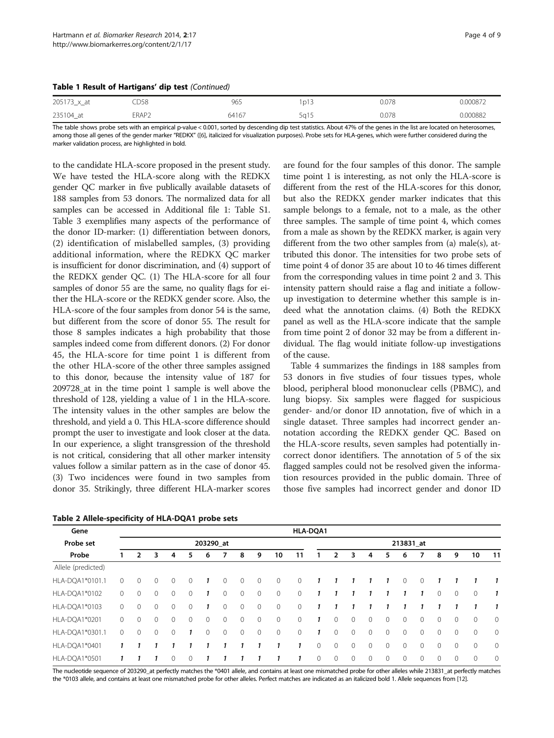<span id="page-3-0"></span>

|  |  |  |  |  |  |  | Table 1 Result of Hartigans' dip test (Continued) |
|--|--|--|--|--|--|--|---------------------------------------------------|
|--|--|--|--|--|--|--|---------------------------------------------------|

The table shows probe sets with an empirical p-value < 0.001, sorted by descending dip test statistics. About 47% of the genes in the list are located on heterosomes, among those all genes of the gender marker "REDKX" ([\[6\]](#page-7-0), italicized for visualization purposes). Probe sets for HLA-genes, which were further considered during the marker validation process, are highlighted in bold.

235104\_at ERAP2 64167 5q15 0.078 0.000882

to the candidate HLA-score proposed in the present study. We have tested the HLA-score along with the REDKX gender QC marker in five publically available datasets of 188 samples from 53 donors. The normalized data for all samples can be accessed in Additional file [1](#page-7-0): Table S1. Table [3](#page-5-0) exemplifies many aspects of the performance of the donor ID-marker: (1) differentiation between donors, (2) identification of mislabelled samples, (3) providing additional information, where the REDKX QC marker is insufficient for donor discrimination, and (4) support of the REDKX gender QC. (1) The HLA-score for all four samples of donor 55 are the same, no quality flags for either the HLA-score or the REDKX gender score. Also, the HLA-score of the four samples from donor 54 is the same, but different from the score of donor 55. The result for those 8 samples indicates a high probability that those samples indeed come from different donors. (2) For donor 45, the HLA-score for time point 1 is different from the other HLA-score of the other three samples assigned to this donor, because the intensity value of 187 for 209728\_at in the time point 1 sample is well above the threshold of 128, yielding a value of 1 in the HLA-score. The intensity values in the other samples are below the threshold, and yield a 0. This HLA-score difference should prompt the user to investigate and look closer at the data. In our experience, a slight transgression of the threshold is not critical, considering that all other marker intensity values follow a similar pattern as in the case of donor 45. (3) Two incidences were found in two samples from donor 35. Strikingly, three different HLA-marker scores

are found for the four samples of this donor. The sample time point 1 is interesting, as not only the HLA-score is different from the rest of the HLA-scores for this donor, but also the REDKX gender marker indicates that this sample belongs to a female, not to a male, as the other three samples. The sample of time point 4, which comes from a male as shown by the REDKX marker, is again very different from the two other samples from (a) male(s), attributed this donor. The intensities for two probe sets of time point 4 of donor 35 are about 10 to 46 times different from the corresponding values in time point 2 and 3. This intensity pattern should raise a flag and initiate a followup investigation to determine whether this sample is indeed what the annotation claims. (4) Both the REDKX panel as well as the HLA-score indicate that the sample from time point 2 of donor 32 may be from a different individual. The flag would initiate follow-up investigations of the cause.

Table [4](#page-6-0) summarizes the findings in 188 samples from 53 donors in five studies of four tissues types, whole blood, peripheral blood mononuclear cells (PBMC), and lung biopsy. Six samples were flagged for suspicious gender- and/or donor ID annotation, five of which in a single dataset. Three samples had incorrect gender annotation according the REDKX gender QC. Based on the HLA-score results, seven samples had potentially incorrect donor identifiers. The annotation of 5 of the six flagged samples could not be resolved given the information resources provided in the public domain. Three of those five samples had incorrect gender and donor ID

| Gene               |           |                |          |              |          |          |                |              |              |              |              | HLA-DQA1     |                |              |                |                |              |              |                |              |                |                |
|--------------------|-----------|----------------|----------|--------------|----------|----------|----------------|--------------|--------------|--------------|--------------|--------------|----------------|--------------|----------------|----------------|--------------|--------------|----------------|--------------|----------------|----------------|
| Probe set          | 203290_at |                |          |              |          |          |                |              | 213831 at    |              |              |              |                |              |                |                |              |              |                |              |                |                |
| Probe              |           | $\overline{2}$ | 3        | 4            | 5.       | 6        | 7              | 8            | 9            | 10           | 11           | 1            | $\overline{2}$ | 3            | 4              | 5.             | 6            | 7            | 8              | 9            | 10             | -11            |
| Allele (predicted) |           |                |          |              |          |          |                |              |              |              |              |              |                |              |                |                |              |              |                |              |                |                |
| HLA-DQA1*0101.1    | 0         | $\mathbf{0}$   | $\Omega$ | 0            | $\Omega$ |          | $\mathbf{0}$   | $\mathbf{0}$ | $\mathbf{0}$ | $\mathbf{0}$ | $\circ$      |              |                |              |                |                | $\mathbf{0}$ | $\mathbf{0}$ |                |              |                | $\mathbf{1}$   |
| HLA-DQA1*0102      | $\Omega$  | $\mathbf{0}$   | $\Omega$ | 0            | $\Omega$ | 1        | $\mathbf{0}$   | $\mathbf{0}$ | $\mathbf{0}$ | $\mathbf{0}$ | $\circ$      |              |                |              |                |                |              | 1            | $\mathbf{0}$   | $\mathbf{0}$ | $\overline{0}$ | 1              |
| HLA-DQA1*0103      | $\Omega$  | $\mathbf{0}$   | $\Omega$ | $\circ$      | $\Omega$ | 1        | $\mathbf{0}$   | $\mathbf{0}$ | $\mathbf{0}$ | $\mathbf{0}$ | $\circ$      |              |                |              |                |                |              |              |                |              |                | 1              |
| HLA-DQA1*0201      | $\Omega$  | $\mathbf{0}$   | $\Omega$ | 0            | $\Omega$ | $\Omega$ | $\mathbf{0}$   | $\mathbf{0}$ | $\mathbf{0}$ | $\mathbf{0}$ | $\mathbf{0}$ |              | $\Omega$       | $\Omega$     | $\Omega$       | $\overline{0}$ | $\mathbf{0}$ | $\mathbf{0}$ | $\Omega$       | $\Omega$     | $\overline{0}$ | $\overline{0}$ |
| HLA-DQA1*0301.1    | 0         | $\mathbf{0}$   | $\Omega$ | $\circ$      | 1        | $\circ$  | $\overline{0}$ | $\mathbf{0}$ | $\mathbf{0}$ | $\mathbf{0}$ | $\circ$      | 1            | $\mathbf{0}$   | $\mathbf{0}$ | $\overline{0}$ | $\overline{0}$ | $\mathbf{0}$ | $\mathbf{0}$ | $\overline{0}$ | $\Omega$     | $\overline{0}$ | $\overline{0}$ |
| HLA-DQA1*0401      |           |                |          |              |          |          |                |              |              |              |              | $\Omega$     | $\mathbf{0}$   | $\Omega$     | $\Omega$       | $\overline{0}$ | $\Omega$     | 0            | $\overline{0}$ | $\Omega$     | $\overline{0}$ | $\overline{0}$ |
| HLA-DQA1*0501      |           |                |          | $\mathbf{0}$ | $\Omega$ |          |                |              |              |              |              | $\mathbf{0}$ | $\mathbf{0}$   | $\mathbf{0}$ | $\Omega$       | $\overline{0}$ | $\circ$      | 0            | $\mathbf{0}$   | $\mathbf{0}$ | $\overline{0}$ | $\overline{0}$ |

The nucleotide sequence of 203290\_at perfectly matches the \*0401 allele, and contains at least one mismatched probe for other alleles while 213831\_at perfectly matches the \*0103 allele, and contains at least one mismatched probe for other alleles. Perfect matches are indicated as an italicized bold 1. Allele sequences from [\[12](#page-7-0)].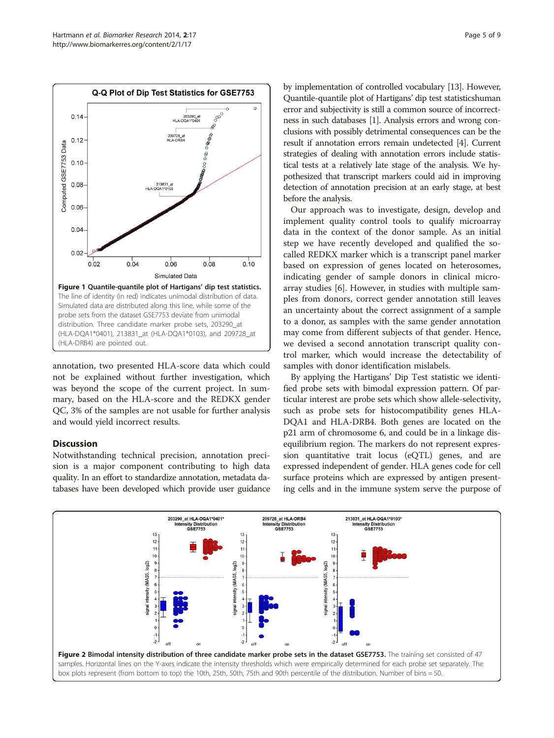

<span id="page-4-0"></span>

annotation, two presented HLA-score data which could not be explained without further investigation, which was beyond the scope of the current project. In summary, based on the HLA-score and the REDKX gender QC, 3% of the samples are not usable for further analysis and would yield incorrect results.

# **Discussion**

Notwithstanding technical precision, annotation precision is a major component contributing to high data quality. In an effort to standardize annotation, metadata databases have been developed which provide user guidance

by implementation of controlled vocabulary [\[13\]](#page-7-0). However, Quantile-quantile plot of Hartigans' dip test statisticshuman error and subjectivity is still a common source of incorrectness in such databases [\[1\]](#page-7-0). Analysis errors and wrong conclusions with possibly detrimental consequences can be the result if annotation errors remain undetected [\[4\]](#page-7-0). Current strategies of dealing with annotation errors include statistical tests at a relatively late stage of the analysis. We hypothesized that transcript markers could aid in improving detection of annotation precision at an early stage, at best before the analysis.

Our approach was to investigate, design, develop and implement quality control tools to qualify microarray data in the context of the donor sample. As an initial step we have recently developed and qualified the socalled REDKX marker which is a transcript panel marker based on expression of genes located on heterosomes, indicating gender of sample donors in clinical microarray studies [\[6\]](#page-7-0). However, in studies with multiple samples from donors, correct gender annotation still leaves an uncertainty about the correct assignment of a sample to a donor, as samples with the same gender annotation may come from different subjects of that gender. Hence, we devised a second annotation transcript quality control marker, which would increase the detectability of samples with donor identification mislabels.

By applying the Hartigans' Dip Test statistic we identified probe sets with bimodal expression pattern. Of particular interest are probe sets which show allele-selectivity, such as probe sets for histocompatibility genes HLA-DQA1 and HLA-DRB4. Both genes are located on the p21 arm of chromosome 6, and could be in a linkage disequilibrium region. The markers do not represent expression quantitative trait locus (eQTL) genes, and are expressed independent of gender. HLA genes code for cell surface proteins which are expressed by antigen presenting cells and in the immune system serve the purpose of

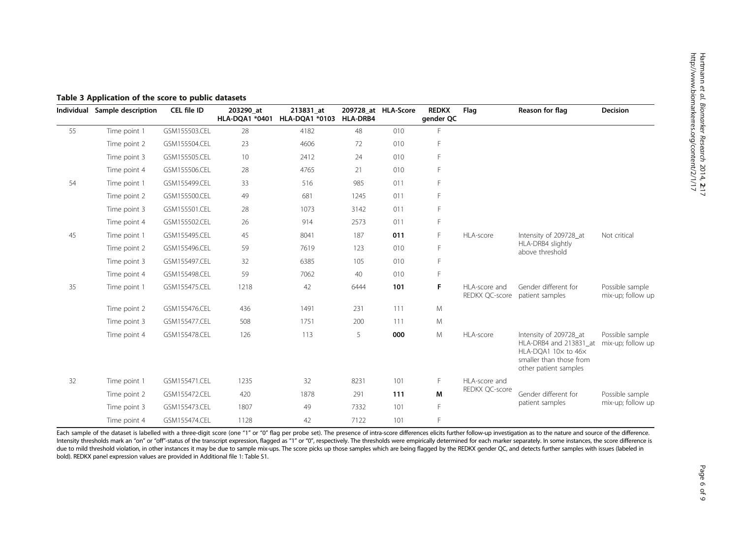|    | Individual Sample description | <b>CEL file ID</b> | 203290 at<br>HLA-DQA1 *0401 | 213831 at<br>HLA-DQA1 *0103 | <b>HLA-DRB4</b> | 209728 at HLA-Score | <b>REDKX</b><br>gender QC | Flag                                   | Reason for flag                                                                                                             | Decision                             |
|----|-------------------------------|--------------------|-----------------------------|-----------------------------|-----------------|---------------------|---------------------------|----------------------------------------|-----------------------------------------------------------------------------------------------------------------------------|--------------------------------------|
| 55 | Time point 1                  | GSM155503.CEL      | 28                          | 4182                        | 48              | 010                 |                           |                                        |                                                                                                                             |                                      |
|    | Time point 2                  | GSM155504.CEL      | 23                          | 4606                        | 72              | 010                 | F                         |                                        |                                                                                                                             |                                      |
|    | Time point 3                  | GSM155505.CEL      | 10                          | 2412                        | 24              | 010                 |                           |                                        |                                                                                                                             |                                      |
|    | Time point 4                  | GSM155506.CEL      | 28                          | 4765                        | 21              | 010                 | F                         |                                        |                                                                                                                             |                                      |
| 54 | Time point 1                  | GSM155499.CEL      | 33                          | 516                         | 985             | 011                 | F                         |                                        |                                                                                                                             |                                      |
|    | Time point 2                  | GSM155500.CEL      | 49                          | 681                         | 1245            | 011                 | F                         |                                        |                                                                                                                             |                                      |
|    | Time point 3                  | GSM155501.CEL      | 28                          | 1073                        | 3142            | 011                 | F                         |                                        |                                                                                                                             |                                      |
|    | Time point 4                  | GSM155502.CEL      | 26                          | 914                         | 2573            | 011                 | F                         |                                        |                                                                                                                             |                                      |
| 45 | Time point 1                  | GSM155495.CEL      | 45                          | 8041                        | 187             | 011                 | F.                        | HLA-score                              | Intensity of 209728 at<br>HLA-DRB4 slightly<br>above threshold                                                              | Not critical                         |
|    | Time point 2                  | GSM155496.CEL      | 59                          | 7619                        | 123             | 010                 | F                         |                                        |                                                                                                                             |                                      |
|    | Time point 3                  | GSM155497.CEL      | 32                          | 6385                        | 105             | 010                 | F                         |                                        |                                                                                                                             |                                      |
|    | Time point 4                  | GSM155498.CEL      | 59                          | 7062                        | 40              | 010                 | F.                        |                                        |                                                                                                                             |                                      |
| 35 | Time point 1                  | GSM155475.CEL      | 1218                        | 42                          | 6444            | 101                 | F.                        | HLA-score and<br><b>REDKX QC-score</b> | Gender different for<br>patient samples                                                                                     | Possible sample<br>mix-up; follow up |
|    | Time point 2                  | GSM155476.CEL      | 436                         | 1491                        | 231             | 111                 | M                         |                                        |                                                                                                                             |                                      |
|    | Time point 3                  | GSM155477.CEL      | 508                         | 1751                        | 200             | 111                 | M                         |                                        |                                                                                                                             |                                      |
|    | Time point 4                  | GSM155478.CEL      | 126                         | 113                         | 5               | 000                 | M                         | HLA-score                              | Intensity of 209728 at<br>HLA-DRB4 and 213831_at<br>HLA-DOA1 10x to 46x<br>smaller than those from<br>other patient samples | Possible sample<br>mix-up; follow up |
| 32 | Time point 1                  | GSM155471.CEL      | 1235                        | 32                          | 8231            | 101                 | F.                        | HLA-score and                          |                                                                                                                             |                                      |
|    | Time point 2                  | GSM155472.CEL      | 420                         | 1878                        | 291             | 111                 | M                         | REDKX QC-score                         | Gender different for                                                                                                        | Possible sample<br>mix-up; follow up |
|    | Time point 3                  | GSM155473.CEL      | 1807                        | 49                          | 7332            | 101                 | F                         |                                        | patient samples                                                                                                             |                                      |
|    | Time point 4                  | GSM155474.CEL      | 1128                        | 42                          | 7122            | 101                 | E                         |                                        |                                                                                                                             |                                      |

# <span id="page-5-0"></span>Table 3 Application of the score to public datasets

Each sample of the dataset is labelled with a three-digit score (one "1" or "0" flag per probe set). The presence of intra-score differences elicits further follow-up investigation as to the nature and source of the differ Intensity thresholds mark an "on" or "off"-status of the transcript expression, flagged as "1" or "0", respectively. The thresholds were empirically determined for each marker separately. In some instances, the score diffe due to mild threshold violation, in other instances it may be due to sample mix-ups. The score picks up those samples which are being flagged by the REDKX gender QC, and detects further samples with issues (labeled in bold). REDKX panel expression values are provided in Additional file [1](#page-7-0): Table S1.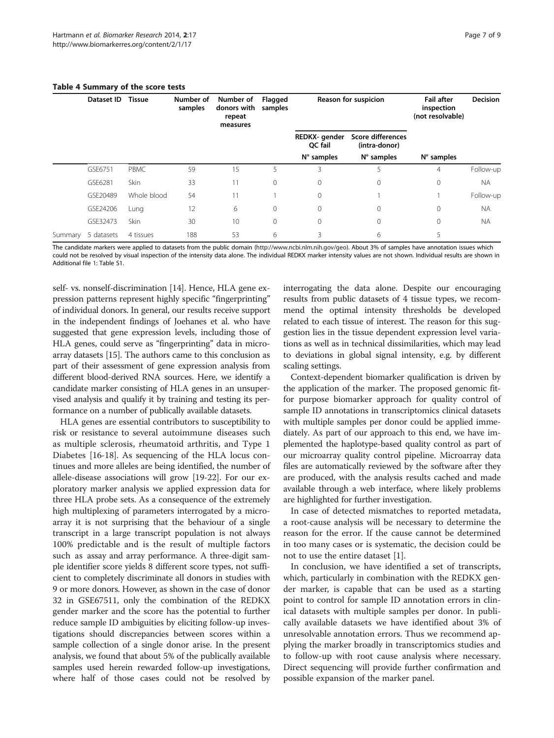|         | Dataset ID | <b>Tissue</b> | Number of<br>samples | Number of<br>donors with<br>repeat<br>measures | Flagged<br>samples                                                    |                     | Reason for suspicion | <b>Fail after</b><br>inspection<br>(not resolvable) | <b>Decision</b> |
|---------|------------|---------------|----------------------|------------------------------------------------|-----------------------------------------------------------------------|---------------------|----------------------|-----------------------------------------------------|-----------------|
|         |            |               |                      |                                                | <b>Score differences</b><br>REDKX- gender<br>QC fail<br>(intra-donor) |                     |                      |                                                     |                 |
|         |            |               |                      |                                                |                                                                       | $N^{\circ}$ samples | $N^{\circ}$ samples  | $N°$ samples                                        |                 |
|         | GSE6751    | PBMC          | 59                   | 15                                             | 5                                                                     | 3                   | 5                    | 4                                                   | Follow-up       |
|         | GSE6281    | <b>Skin</b>   | 33                   | 11                                             | 0                                                                     | $\mathbf 0$         | $\mathbf{0}$         | $\mathbf{0}$                                        | <b>NA</b>       |
|         | GSE20489   | Whole blood   | 54                   | 11                                             |                                                                       | $\mathbf 0$         |                      |                                                     | Follow-up       |
|         | GSE24206   | Lung          | 12                   | 6                                              | $\mathbf 0$                                                           | $\mathbf{0}$        | $\mathbf{0}$         | $\mathbf{0}$                                        | <b>NA</b>       |
|         | GSE32473   | <b>Skin</b>   | 30                   | 10                                             | $\mathbf 0$                                                           | 0                   | 0                    | $\mathbf{0}$                                        | <b>NA</b>       |
| Summary | 5 datasets | 4 tissues     | 188                  | 53                                             | 6                                                                     | 3                   | 6                    | 5                                                   |                 |

#### <span id="page-6-0"></span>Table 4 Summary of the score tests

The candidate markers were applied to datasets from the public domain ([http://www.ncbi.nlm.nih.gov/geo\)](http://www.ncbi.nlm.nih.gov/geo). About 3% of samples have annotation issues which could not be resolved by visual inspection of the intensity data alone. The individual REDKX marker intensity values are not shown. Individual results are shown in Additional file [1](#page-7-0): Table S1.

self- vs. nonself-discrimination [\[14\]](#page-7-0). Hence, HLA gene expression patterns represent highly specific "fingerprinting" of individual donors. In general, our results receive support in the independent findings of Joehanes et al. who have suggested that gene expression levels, including those of HLA genes, could serve as "fingerprinting" data in microarray datasets [[15](#page-7-0)]. The authors came to this conclusion as part of their assessment of gene expression analysis from different blood-derived RNA sources. Here, we identify a candidate marker consisting of HLA genes in an unsupervised analysis and qualify it by training and testing its performance on a number of publically available datasets.

HLA genes are essential contributors to susceptibility to risk or resistance to several autoimmune diseases such as multiple sclerosis, rheumatoid arthritis, and Type 1 Diabetes [\[16](#page-7-0)-[18](#page-8-0)]. As sequencing of the HLA locus continues and more alleles are being identified, the number of allele-disease associations will grow [\[19-22\]](#page-8-0). For our exploratory marker analysis we applied expression data for three HLA probe sets. As a consequence of the extremely high multiplexing of parameters interrogated by a microarray it is not surprising that the behaviour of a single transcript in a large transcript population is not always 100% predictable and is the result of multiple factors such as assay and array performance. A three-digit sample identifier score yields 8 different score types, not sufficient to completely discriminate all donors in studies with 9 or more donors. However, as shown in the case of donor 32 in GSE67511, only the combination of the REDKX gender marker and the score has the potential to further reduce sample ID ambiguities by eliciting follow-up investigations should discrepancies between scores within a sample collection of a single donor arise. In the present analysis, we found that about 5% of the publically available samples used herein rewarded follow-up investigations, where half of those cases could not be resolved by interrogating the data alone. Despite our encouraging results from public datasets of 4 tissue types, we recommend the optimal intensity thresholds be developed related to each tissue of interest. The reason for this suggestion lies in the tissue dependent expression level variations as well as in technical dissimilarities, which may lead to deviations in global signal intensity, e.g. by different scaling settings.

Context-dependent biomarker qualification is driven by the application of the marker. The proposed genomic fitfor purpose biomarker approach for quality control of sample ID annotations in transcriptomics clinical datasets with multiple samples per donor could be applied immediately. As part of our approach to this end, we have implemented the haplotype-based quality control as part of our microarray quality control pipeline. Microarray data files are automatically reviewed by the software after they are produced, with the analysis results cached and made available through a web interface, where likely problems are highlighted for further investigation.

In case of detected mismatches to reported metadata, a root-cause analysis will be necessary to determine the reason for the error. If the cause cannot be determined in too many cases or is systematic, the decision could be not to use the entire dataset [\[1](#page-7-0)].

In conclusion, we have identified a set of transcripts, which, particularly in combination with the REDKX gender marker, is capable that can be used as a starting point to control for sample ID annotation errors in clinical datasets with multiple samples per donor. In publically available datasets we have identified about 3% of unresolvable annotation errors. Thus we recommend applying the marker broadly in transcriptomics studies and to follow-up with root cause analysis where necessary. Direct sequencing will provide further confirmation and possible expansion of the marker panel.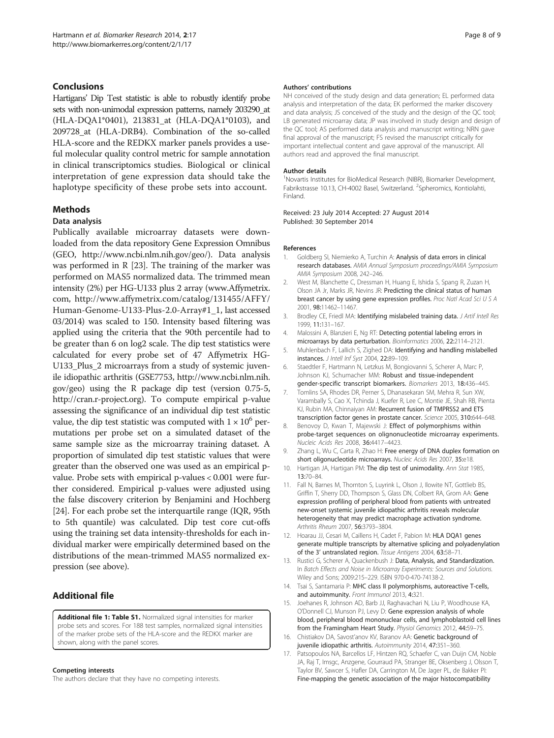## <span id="page-7-0"></span>Conclusions

Hartigans' Dip Test statistic is able to robustly identify probe sets with non-unimodal expression patterns, namely 203290\_at (HLA-DQA1\*0401), 213831\_at (HLA-DQA1\*0103), and 209728\_at (HLA-DRB4). Combination of the so-called HLA-score and the REDKX marker panels provides a useful molecular quality control metric for sample annotation in clinical transcriptomics studies. Biological or clinical interpretation of gene expression data should take the haplotype specificity of these probe sets into account.

## Methods

#### Data analysis

Publically available microarray datasets were downloaded from the data repository Gene Expression Omnibus (GEO,<http://www.ncbi.nlm.nih.gov/geo/>). Data analysis was performed in R [\[23\]](#page-8-0). The training of the marker was performed on MAS5 normalized data. The trimmed mean intensity (2%) per HG-U133 plus 2 array ([www.Affymetrix.](http://www.affymetrix.com) [com,](http://www.affymetrix.com) [http://www.affymetrix.com/catalog/131455/AFFY/](http://www.affymetrix.com/catalog/131455/AFFY/Human-Genome-U133-Plus-2.0-Array#1_1) [Human-Genome-U133-Plus-2.0-Array#1\\_1](http://www.affymetrix.com/catalog/131455/AFFY/Human-Genome-U133-Plus-2.0-Array#1_1), last accessed 03/2014) was scaled to 150. Intensity based filtering was applied using the criteria that the 90th percentile had to be greater than 6 on log2 scale. The dip test statistics were calculated for every probe set of 47 Affymetrix HG-U133\_Plus\_2 microarrays from a study of systemic juvenile idiopathic arthritis (GSE7753, [http://www.ncbi.nlm.nih.](http://www.ncbi.nlm.nih.gov/geo) [gov/geo](http://www.ncbi.nlm.nih.gov/geo)) using the R package dip test (version 0.75-5, [http://cran.r-project.org\)](http://cran.r-project.org). To compute empirical p-value assessing the significance of an individual dip test statistic value, the dip test statistic was computed with  $1 \times 10^6$  permutations per probe set on a simulated dataset of the same sample size as the microarray training dataset. A proportion of simulated dip test statistic values that were greater than the observed one was used as an empirical pvalue. Probe sets with empirical p-values < 0.001 were further considered. Empirical p-values were adjusted using the false discovery criterion by Benjamini and Hochberg [[24](#page-8-0)]. For each probe set the interquartile range (IQR, 95th to 5th quantile) was calculated. Dip test core cut-offs using the training set data intensity-thresholds for each individual marker were empirically determined based on the distributions of the mean-trimmed MAS5 normalized expression (see above).

# Additional file

[Additional file 1: Table S1.](http://www.biomedcentral.com/content/supplementary/2050-7771-2-17-S1.xlsx) Normalized signal intensities for marker probe sets and scores. For 188 test samples, normalized signal intensities of the marker probe sets of the HLA-score and the REDKX marker are shown, along with the panel scores.

#### Competing interests

The authors declare that they have no competing interests.

#### Authors' contributions

NH conceived of the study design and data generation; EL performed data analysis and interpretation of the data; EK performed the marker discovery and data analysis; JS conceived of the study and the design of the QC tool; LB generated microarray data; JP was involved in study design and design of the QC tool; AS performed data analysis and manuscript writing; NRN gave final approval of the manuscript; FS revised the manuscript critically for important intellectual content and gave approval of the manuscript. All authors read and approved the final manuscript.

#### Author details

<sup>1</sup>Novartis Institutes for BioMedical Research (NIBR), Biomarker Development Fabrikstrasse 10.13, CH-4002 Basel, Switzerland. <sup>2</sup>Spheromics, Kontiolahti Finland.

Received: 23 July 2014 Accepted: 27 August 2014 Published: 30 September 2014

#### References

- 1. Goldberg SI, Niemierko A, Turchin A: Analysis of data errors in clinical research databases. AMIA Annual Symposium proceedings/AMIA Symposium AMIA Symposium 2008, 242–246.
- 2. West M, Blanchette C, Dressman H, Huang E, Ishida S, Spang R, Zuzan H, Olson JA Jr, Marks JR, Nevins JR: Predicting the clinical status of human breast cancer by using gene expression profiles. Proc Natl Acad Sci U S A 2001, 98:11462–11467.
- 3. Brodley CE, Friedl MA: Identifying mislabeled training data. J Artif Intell Res 1999, 11:131–167.
- 4. Malossini A, Blanzieri E, Ng RT: Detecting potential labeling errors in microarrays by data perturbation. Bioinformatics 2006, 22:2114–2121.
- 5. Muhlenbach F, Lallich S, Zighed DA: Identifying and handling mislabelled instances. J Intell Inf Syst 2004, 22:89–109.
- 6. Staedtler F, Hartmann N, Letzkus M, Bongiovanni S, Scherer A, Marc P, Johnson KJ, Schumacher MM: Robust and tissue-independent gender-specific transcript biomarkers. Biomarkers 2013, 18:436–445.
- 7. Tomlins SA, Rhodes DR, Perner S, Dhanasekaran SM, Mehra R, Sun XW, Varambally S, Cao X, Tchinda J, Kuefer R, Lee C, Montie JE, Shah RB, Pienta KJ, Rubin MA, Chinnaiyan AM: Recurrent fusion of TMPRSS2 and ETS transcription factor genes in prostate cancer. Science 2005, 310:644–648.
- 8. Benovoy D, Kwan T, Majewski J: Effect of polymorphisms within probe-target sequences on olignonucleotide microarray experiments. Nucleic Acids Res 2008, 36:4417–4423.
- 9. Zhang L, Wu C, Carta R, Zhao H: Free energy of DNA duplex formation on short oligonucleotide microarrays. Nucleic Acids Res 2007, 35:e18.
- 10. Hartigan JA, Hartigan PM: The dip test of unimodality. Ann Stat 1985, 13:70–84.
- 11. Fall N, Barnes M, Thornton S, Luyrink L, Olson J, Ilowite NT, Gottlieb BS, Griffin T, Sherry DD, Thompson S, Glass DN, Colbert RA, Grom AA: Gene expression profiling of peripheral blood from patients with untreated new-onset systemic juvenile idiopathic arthritis reveals molecular heterogeneity that may predict macrophage activation syndrome. Arthritis Rheum 2007, 56:3793–3804.
- 12. Hoarau JJ, Cesari M, Caillens H, Cadet F, Pabion M: HLA DQA1 genes generate multiple transcripts by alternative splicing and polyadenylation of the 3' untranslated region. Tissue Antigens 2004, 63:58–71.
- 13. Rustici G, Scherer A, Quackenbush J: Data, Analysis, and Standardization. In Batch Effects and Noise in Microarray Experiments: Sources and Solutions. Wiley and Sons; 2009:215–229. ISBN 970-0-470-74138-2.
- 14. Tsai S, Santamaria P: MHC class II polymorphisms, autoreactive T-cells, and autoimmunity. Front Immunol 2013, 4:321.
- 15. Joehanes R, Johnson AD, Barb JJ, Raghavachari N, Liu P, Woodhouse KA, O'Donnell CJ, Munson PJ, Levy D: Gene expression analysis of whole blood, peripheral blood mononuclear cells, and lymphoblastoid cell lines from the Framingham Heart Study. Physiol Genomics 2012, 44:59–75.
- 16. Chistiakov DA, Savost'anov KV, Baranov AA: Genetic background of juvenile idiopathic arthritis. Autoimmunity 2014, 47:351–360.
- 17. Patsopoulos NA, Barcellos LF, Hintzen RQ, Schaefer C, van Duijn CM, Noble JA, Raj T, Imsgc, Anzgene, Gourraud PA, Stranger BE, Oksenberg J, Olsson T, Taylor BV, Sawcer S, Hafler DA, Carrington M, De Jager PL, de Bakker PI: Fine-mapping the genetic association of the major histocompatibility